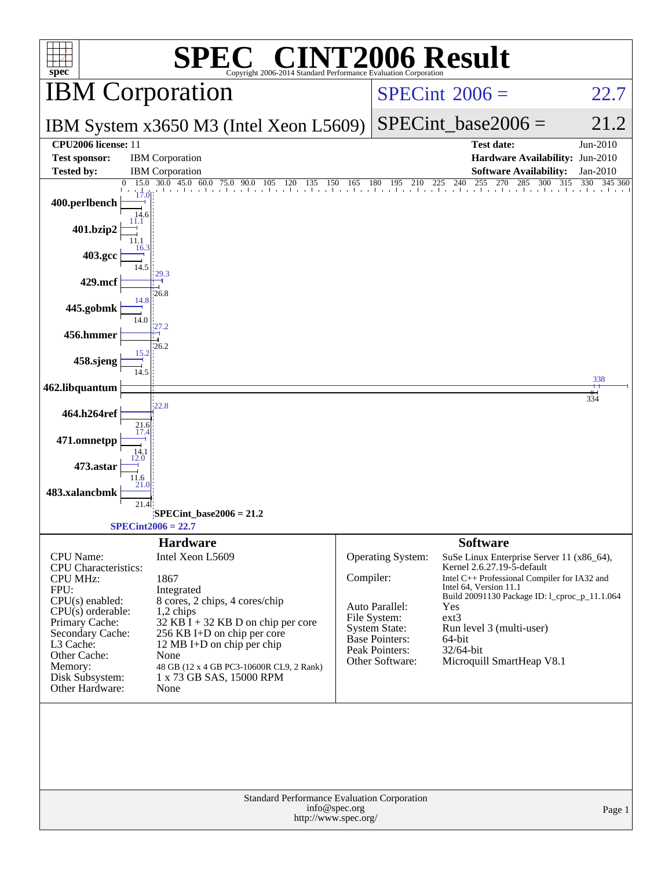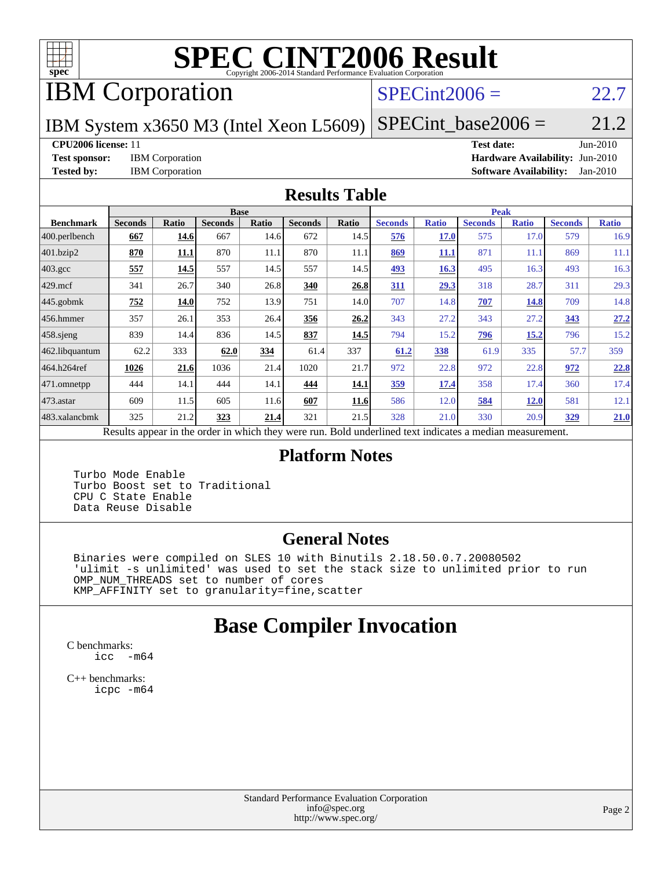

# **[SPEC CINT2006 Result](http://www.spec.org/auto/cpu2006/Docs/result-fields.html#SPECCINT2006Result)**

# IBM Corporation

# $SPECint2006 = 22.7$  $SPECint2006 = 22.7$

IBM System x3650 M3 (Intel Xeon L5609)

 $SPECTnt\_base2006 = 21.2$ 

#### **[CPU2006 license:](http://www.spec.org/auto/cpu2006/Docs/result-fields.html#CPU2006license)** 11 **[Test date:](http://www.spec.org/auto/cpu2006/Docs/result-fields.html#Testdate)** Jun-2010

**[Test sponsor:](http://www.spec.org/auto/cpu2006/Docs/result-fields.html#Testsponsor)** IBM Corporation **[Hardware Availability:](http://www.spec.org/auto/cpu2006/Docs/result-fields.html#HardwareAvailability)** Jun-2010 **[Tested by:](http://www.spec.org/auto/cpu2006/Docs/result-fields.html#Testedby)** IBM Corporation **[Software Availability:](http://www.spec.org/auto/cpu2006/Docs/result-fields.html#SoftwareAvailability)** Jan-2010

#### **[Results Table](http://www.spec.org/auto/cpu2006/Docs/result-fields.html#ResultsTable)**

|                   |                           |              | <b>Base</b>    |                          |                |                    |                                             |              | <b>Peak</b>    |              |                |              |
|-------------------|---------------------------|--------------|----------------|--------------------------|----------------|--------------------|---------------------------------------------|--------------|----------------|--------------|----------------|--------------|
| <b>Benchmark</b>  | <b>Seconds</b>            | <b>Ratio</b> | <b>Seconds</b> | <b>Ratio</b>             | <b>Seconds</b> | Ratio              | <b>Seconds</b>                              | <b>Ratio</b> | <b>Seconds</b> | <b>Ratio</b> | <b>Seconds</b> | <b>Ratio</b> |
| $ 400$ .perlbench | 667                       | <u>14.6</u>  | 667            | 14.6                     | 672            | 14.5               | 576                                         | 17.0         | 575            | 17.0         | 579            | 16.9         |
| 401.bzip2         | 870                       | <u>11.1</u>  | 870            | 11.1                     | 870            | 11.1               | 869                                         | <u>11.1</u>  | 871            | 11.1         | 869            | 11.1         |
| 403.gcc           | 557                       | 14.5         | 557            | 14.5                     | 557            | 14.5               | <u>493</u>                                  | 16.3         | 495            | 16.3         | 493            | 16.3         |
| $429$ .mcf        | 341                       | 26.7         | 340            | 26.8                     | 340            | 26.8               | 311                                         | 29.3         | 318            | 28.7         | 311            | 29.3         |
| $445$ .gobmk      | 752                       | 14.0         | 752            | 13.9                     | 751            | 14.0               | 707                                         | 14.8         | 707            | 14.8         | 709            | 14.8         |
| $456.$ hmmer      | 357                       | 26.1         | 353            | 26.4                     | 356            | 26.2               | 343                                         | 27.2         | 343            | 27.2         | 343            | 27.2         |
| $458$ .sjeng      | 839                       | 14.4         | 836            | 14.5                     | 837            | 14.5               | 794                                         | 15.2         | <u>796</u>     | 15.2         | 796            | 15.2         |
| 462.libquantum    | 62.2                      | 333          | 62.0           | 334                      | 61.4           | 337                | 61.2                                        | 338          | 61.9           | 335          | 57.7           | 359          |
| 464.h264ref       | 1026                      | 21.6         | 1036           | 21.4                     | 1020           | 21.7               | 972                                         | 22.8         | 972            | 22.8         | 972            | 22.8         |
| 471.omnetpp       | 444                       | 14.1         | 444            | 14.1                     | 444            | <u>14.1</u>        | <u>359</u>                                  | 17.4         | 358            | 17.4         | 360            | 17.4         |
| $473$ . astar     | 609                       | 11.5         | 605            | 11.6                     | 607            | <u>11.6</u>        | 586                                         | 12.0         | 584            | <u>12.0</u>  | 581            | 12.1         |
| 483.xalancbmk     | 325                       | 21.2         | 323            | 21.4                     | 321            | 21.5               | 328                                         | 21.0         | 330            | 20.9         | <u>329</u>     | 21.0         |
|                   | $\mathbf{D}$ $\mathbf{L}$ | 2.11         |                | 1.3.1.<br>$\overline{1}$ |                | $\mathbf{D}$ . 1.1 | and a final formation of the differences of |              |                |              |                |              |

Results appear in the [order in which they were run.](http://www.spec.org/auto/cpu2006/Docs/result-fields.html#RunOrder) Bold underlined text [indicates a median measurement.](http://www.spec.org/auto/cpu2006/Docs/result-fields.html#Median)

### **[Platform Notes](http://www.spec.org/auto/cpu2006/Docs/result-fields.html#PlatformNotes)**

 Turbo Mode Enable Turbo Boost set to Traditional CPU C State Enable Data Reuse Disable

### **[General Notes](http://www.spec.org/auto/cpu2006/Docs/result-fields.html#GeneralNotes)**

 Binaries were compiled on SLES 10 with Binutils 2.18.50.0.7.20080502 'ulimit -s unlimited' was used to set the stack size to unlimited prior to run OMP\_NUM\_THREADS set to number of cores KMP\_AFFINITY set to granularity=fine,scatter

# **[Base Compiler Invocation](http://www.spec.org/auto/cpu2006/Docs/result-fields.html#BaseCompilerInvocation)**

[C benchmarks](http://www.spec.org/auto/cpu2006/Docs/result-fields.html#Cbenchmarks): [icc -m64](http://www.spec.org/cpu2006/results/res2010q3/cpu2006-20100621-11853.flags.html#user_CCbase_intel_icc_64bit_f346026e86af2a669e726fe758c88044)

[C++ benchmarks:](http://www.spec.org/auto/cpu2006/Docs/result-fields.html#CXXbenchmarks) [icpc -m64](http://www.spec.org/cpu2006/results/res2010q3/cpu2006-20100621-11853.flags.html#user_CXXbase_intel_icpc_64bit_fc66a5337ce925472a5c54ad6a0de310)

> Standard Performance Evaluation Corporation [info@spec.org](mailto:info@spec.org) <http://www.spec.org/>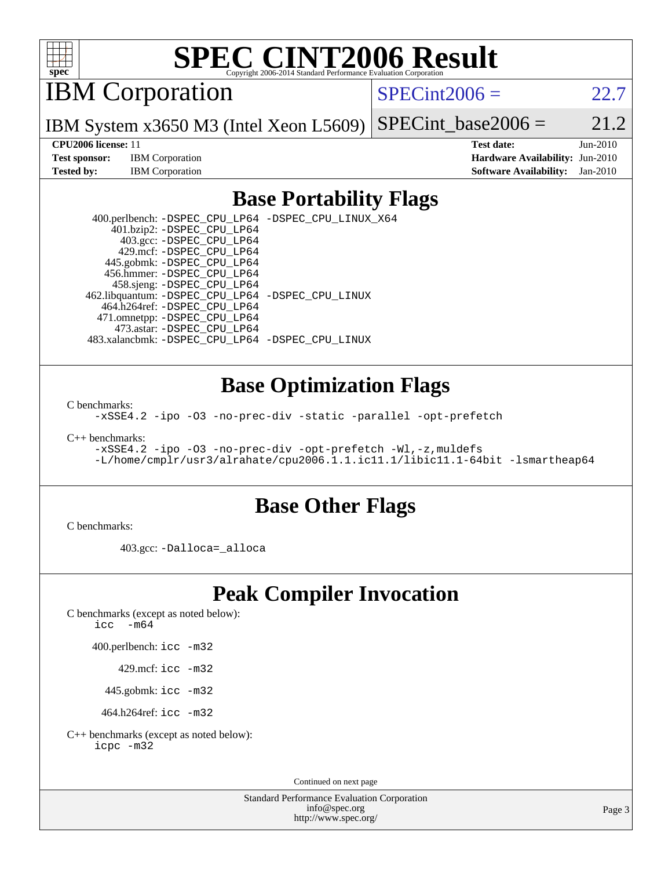

# **[SPEC CINT2006 Result](http://www.spec.org/auto/cpu2006/Docs/result-fields.html#SPECCINT2006Result)**

IBM Corporation

 $SPECint2006 = 22.7$  $SPECint2006 = 22.7$ 

IBM System x3650 M3 (Intel Xeon L5609) SPECint base2006 =  $21.2$ 

**[Test sponsor:](http://www.spec.org/auto/cpu2006/Docs/result-fields.html#Testsponsor)** IBM Corporation **[Hardware Availability:](http://www.spec.org/auto/cpu2006/Docs/result-fields.html#HardwareAvailability)** Jun-2010

**[CPU2006 license:](http://www.spec.org/auto/cpu2006/Docs/result-fields.html#CPU2006license)** 11 **[Test date:](http://www.spec.org/auto/cpu2006/Docs/result-fields.html#Testdate)** Jun-2010 **[Tested by:](http://www.spec.org/auto/cpu2006/Docs/result-fields.html#Testedby)** IBM Corporation **[Software Availability:](http://www.spec.org/auto/cpu2006/Docs/result-fields.html#SoftwareAvailability)** Jan-2010

# **[Base Portability Flags](http://www.spec.org/auto/cpu2006/Docs/result-fields.html#BasePortabilityFlags)**

 400.perlbench: [-DSPEC\\_CPU\\_LP64](http://www.spec.org/cpu2006/results/res2010q3/cpu2006-20100621-11853.flags.html#b400.perlbench_basePORTABILITY_DSPEC_CPU_LP64) [-DSPEC\\_CPU\\_LINUX\\_X64](http://www.spec.org/cpu2006/results/res2010q3/cpu2006-20100621-11853.flags.html#b400.perlbench_baseCPORTABILITY_DSPEC_CPU_LINUX_X64) 401.bzip2: [-DSPEC\\_CPU\\_LP64](http://www.spec.org/cpu2006/results/res2010q3/cpu2006-20100621-11853.flags.html#suite_basePORTABILITY401_bzip2_DSPEC_CPU_LP64) 403.gcc: [-DSPEC\\_CPU\\_LP64](http://www.spec.org/cpu2006/results/res2010q3/cpu2006-20100621-11853.flags.html#suite_basePORTABILITY403_gcc_DSPEC_CPU_LP64) 429.mcf: [-DSPEC\\_CPU\\_LP64](http://www.spec.org/cpu2006/results/res2010q3/cpu2006-20100621-11853.flags.html#suite_basePORTABILITY429_mcf_DSPEC_CPU_LP64) 445.gobmk: [-DSPEC\\_CPU\\_LP64](http://www.spec.org/cpu2006/results/res2010q3/cpu2006-20100621-11853.flags.html#suite_basePORTABILITY445_gobmk_DSPEC_CPU_LP64) 456.hmmer: [-DSPEC\\_CPU\\_LP64](http://www.spec.org/cpu2006/results/res2010q3/cpu2006-20100621-11853.flags.html#suite_basePORTABILITY456_hmmer_DSPEC_CPU_LP64) 458.sjeng: [-DSPEC\\_CPU\\_LP64](http://www.spec.org/cpu2006/results/res2010q3/cpu2006-20100621-11853.flags.html#suite_basePORTABILITY458_sjeng_DSPEC_CPU_LP64) 462.libquantum: [-DSPEC\\_CPU\\_LP64](http://www.spec.org/cpu2006/results/res2010q3/cpu2006-20100621-11853.flags.html#suite_basePORTABILITY462_libquantum_DSPEC_CPU_LP64) [-DSPEC\\_CPU\\_LINUX](http://www.spec.org/cpu2006/results/res2010q3/cpu2006-20100621-11853.flags.html#b462.libquantum_baseCPORTABILITY_DSPEC_CPU_LINUX) 464.h264ref: [-DSPEC\\_CPU\\_LP64](http://www.spec.org/cpu2006/results/res2010q3/cpu2006-20100621-11853.flags.html#suite_basePORTABILITY464_h264ref_DSPEC_CPU_LP64) 471.omnetpp: [-DSPEC\\_CPU\\_LP64](http://www.spec.org/cpu2006/results/res2010q3/cpu2006-20100621-11853.flags.html#suite_basePORTABILITY471_omnetpp_DSPEC_CPU_LP64) 473.astar: [-DSPEC\\_CPU\\_LP64](http://www.spec.org/cpu2006/results/res2010q3/cpu2006-20100621-11853.flags.html#suite_basePORTABILITY473_astar_DSPEC_CPU_LP64) 483.xalancbmk: [-DSPEC\\_CPU\\_LP64](http://www.spec.org/cpu2006/results/res2010q3/cpu2006-20100621-11853.flags.html#suite_basePORTABILITY483_xalancbmk_DSPEC_CPU_LP64) [-DSPEC\\_CPU\\_LINUX](http://www.spec.org/cpu2006/results/res2010q3/cpu2006-20100621-11853.flags.html#b483.xalancbmk_baseCXXPORTABILITY_DSPEC_CPU_LINUX)

## **[Base Optimization Flags](http://www.spec.org/auto/cpu2006/Docs/result-fields.html#BaseOptimizationFlags)**

[C benchmarks](http://www.spec.org/auto/cpu2006/Docs/result-fields.html#Cbenchmarks):

[-xSSE4.2](http://www.spec.org/cpu2006/results/res2010q3/cpu2006-20100621-11853.flags.html#user_CCbase_f-xSSE42_f91528193cf0b216347adb8b939d4107) [-ipo](http://www.spec.org/cpu2006/results/res2010q3/cpu2006-20100621-11853.flags.html#user_CCbase_f-ipo) [-O3](http://www.spec.org/cpu2006/results/res2010q3/cpu2006-20100621-11853.flags.html#user_CCbase_f-O3) [-no-prec-div](http://www.spec.org/cpu2006/results/res2010q3/cpu2006-20100621-11853.flags.html#user_CCbase_f-no-prec-div) [-static](http://www.spec.org/cpu2006/results/res2010q3/cpu2006-20100621-11853.flags.html#user_CCbase_f-static) [-parallel](http://www.spec.org/cpu2006/results/res2010q3/cpu2006-20100621-11853.flags.html#user_CCbase_f-parallel) [-opt-prefetch](http://www.spec.org/cpu2006/results/res2010q3/cpu2006-20100621-11853.flags.html#user_CCbase_f-opt-prefetch)

[C++ benchmarks:](http://www.spec.org/auto/cpu2006/Docs/result-fields.html#CXXbenchmarks)

```
-xSSE4.2 -ipo -O3 -no-prec-div -opt-prefetch -Wl,-z,muldefs
-L/home/cmplr/usr3/alrahate/cpu2006.1.1.ic11.1/libic11.1-64bit -lsmartheap64
```
### **[Base Other Flags](http://www.spec.org/auto/cpu2006/Docs/result-fields.html#BaseOtherFlags)**

[C benchmarks](http://www.spec.org/auto/cpu2006/Docs/result-fields.html#Cbenchmarks):

403.gcc: [-Dalloca=\\_alloca](http://www.spec.org/cpu2006/results/res2010q3/cpu2006-20100621-11853.flags.html#b403.gcc_baseEXTRA_CFLAGS_Dalloca_be3056838c12de2578596ca5467af7f3)

# **[Peak Compiler Invocation](http://www.spec.org/auto/cpu2006/Docs/result-fields.html#PeakCompilerInvocation)**

[C benchmarks \(except as noted below\)](http://www.spec.org/auto/cpu2006/Docs/result-fields.html#Cbenchmarksexceptasnotedbelow):

icc  $-m64$ 

400.perlbench: [icc -m32](http://www.spec.org/cpu2006/results/res2010q3/cpu2006-20100621-11853.flags.html#user_peakCCLD400_perlbench_intel_icc_32bit_a6a621f8d50482236b970c6ac5f55f93)

429.mcf: [icc -m32](http://www.spec.org/cpu2006/results/res2010q3/cpu2006-20100621-11853.flags.html#user_peakCCLD429_mcf_intel_icc_32bit_a6a621f8d50482236b970c6ac5f55f93)

445.gobmk: [icc -m32](http://www.spec.org/cpu2006/results/res2010q3/cpu2006-20100621-11853.flags.html#user_peakCCLD445_gobmk_intel_icc_32bit_a6a621f8d50482236b970c6ac5f55f93)

464.h264ref: [icc -m32](http://www.spec.org/cpu2006/results/res2010q3/cpu2006-20100621-11853.flags.html#user_peakCCLD464_h264ref_intel_icc_32bit_a6a621f8d50482236b970c6ac5f55f93)

[C++ benchmarks \(except as noted below\):](http://www.spec.org/auto/cpu2006/Docs/result-fields.html#CXXbenchmarksexceptasnotedbelow) [icpc -m32](http://www.spec.org/cpu2006/results/res2010q3/cpu2006-20100621-11853.flags.html#user_CXXpeak_intel_icpc_32bit_4e5a5ef1a53fd332b3c49e69c3330699)

Continued on next page

Standard Performance Evaluation Corporation [info@spec.org](mailto:info@spec.org) <http://www.spec.org/>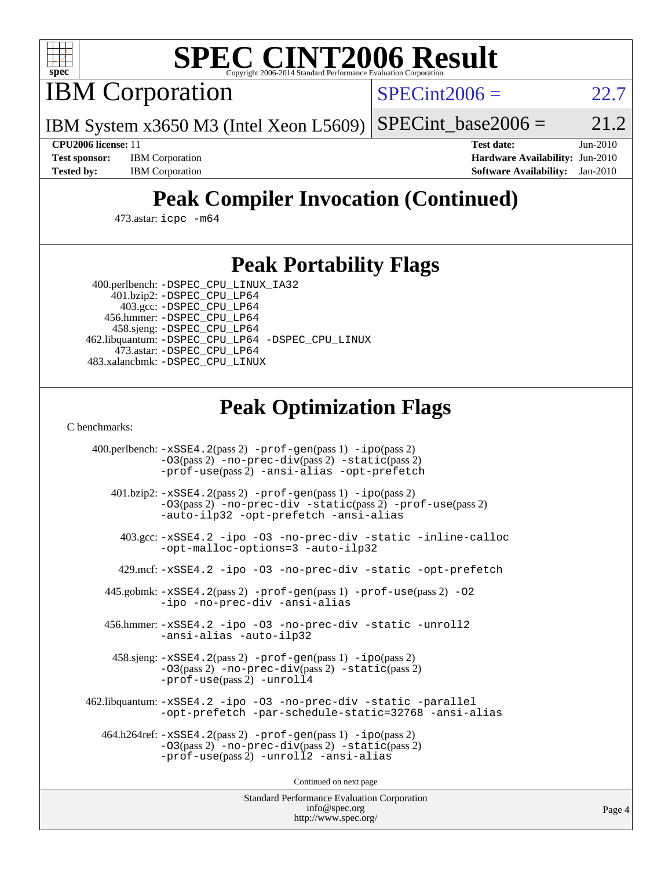

# **[SPEC CINT2006 Result](http://www.spec.org/auto/cpu2006/Docs/result-fields.html#SPECCINT2006Result)**

IBM Corporation

 $SPECint2006 = 22.7$  $SPECint2006 = 22.7$ 

IBM System x3650 M3 (Intel Xeon L5609)  $SPECTnt_base2006 = 21.2$ 

**[CPU2006 license:](http://www.spec.org/auto/cpu2006/Docs/result-fields.html#CPU2006license)** 11 **[Test date:](http://www.spec.org/auto/cpu2006/Docs/result-fields.html#Testdate)** Jun-2010 **[Test sponsor:](http://www.spec.org/auto/cpu2006/Docs/result-fields.html#Testsponsor)** IBM Corporation **[Hardware Availability:](http://www.spec.org/auto/cpu2006/Docs/result-fields.html#HardwareAvailability)** Jun-2010 **[Tested by:](http://www.spec.org/auto/cpu2006/Docs/result-fields.html#Testedby)** IBM Corporation **[Software Availability:](http://www.spec.org/auto/cpu2006/Docs/result-fields.html#SoftwareAvailability)** Jan-2010

# **[Peak Compiler Invocation \(Continued\)](http://www.spec.org/auto/cpu2006/Docs/result-fields.html#PeakCompilerInvocation)**

473.astar: [icpc -m64](http://www.spec.org/cpu2006/results/res2010q3/cpu2006-20100621-11853.flags.html#user_peakCXXLD473_astar_intel_icpc_64bit_fc66a5337ce925472a5c54ad6a0de310)

## **[Peak Portability Flags](http://www.spec.org/auto/cpu2006/Docs/result-fields.html#PeakPortabilityFlags)**

 400.perlbench: [-DSPEC\\_CPU\\_LINUX\\_IA32](http://www.spec.org/cpu2006/results/res2010q3/cpu2006-20100621-11853.flags.html#b400.perlbench_peakCPORTABILITY_DSPEC_CPU_LINUX_IA32) 401.bzip2: [-DSPEC\\_CPU\\_LP64](http://www.spec.org/cpu2006/results/res2010q3/cpu2006-20100621-11853.flags.html#suite_peakPORTABILITY401_bzip2_DSPEC_CPU_LP64)

 403.gcc: [-DSPEC\\_CPU\\_LP64](http://www.spec.org/cpu2006/results/res2010q3/cpu2006-20100621-11853.flags.html#suite_peakPORTABILITY403_gcc_DSPEC_CPU_LP64) 456.hmmer: [-DSPEC\\_CPU\\_LP64](http://www.spec.org/cpu2006/results/res2010q3/cpu2006-20100621-11853.flags.html#suite_peakPORTABILITY456_hmmer_DSPEC_CPU_LP64) 458.sjeng: [-DSPEC\\_CPU\\_LP64](http://www.spec.org/cpu2006/results/res2010q3/cpu2006-20100621-11853.flags.html#suite_peakPORTABILITY458_sjeng_DSPEC_CPU_LP64) 462.libquantum: [-DSPEC\\_CPU\\_LP64](http://www.spec.org/cpu2006/results/res2010q3/cpu2006-20100621-11853.flags.html#suite_peakPORTABILITY462_libquantum_DSPEC_CPU_LP64) [-DSPEC\\_CPU\\_LINUX](http://www.spec.org/cpu2006/results/res2010q3/cpu2006-20100621-11853.flags.html#b462.libquantum_peakCPORTABILITY_DSPEC_CPU_LINUX) 473.astar: [-DSPEC\\_CPU\\_LP64](http://www.spec.org/cpu2006/results/res2010q3/cpu2006-20100621-11853.flags.html#suite_peakPORTABILITY473_astar_DSPEC_CPU_LP64) 483.xalancbmk: [-DSPEC\\_CPU\\_LINUX](http://www.spec.org/cpu2006/results/res2010q3/cpu2006-20100621-11853.flags.html#b483.xalancbmk_peakCXXPORTABILITY_DSPEC_CPU_LINUX)

# **[Peak Optimization Flags](http://www.spec.org/auto/cpu2006/Docs/result-fields.html#PeakOptimizationFlags)**

[C benchmarks](http://www.spec.org/auto/cpu2006/Docs/result-fields.html#Cbenchmarks):

 400.perlbench: [-xSSE4.2](http://www.spec.org/cpu2006/results/res2010q3/cpu2006-20100621-11853.flags.html#user_peakPASS2_CFLAGSPASS2_LDCFLAGS400_perlbench_f-xSSE42_f91528193cf0b216347adb8b939d4107)(pass 2) [-prof-gen](http://www.spec.org/cpu2006/results/res2010q3/cpu2006-20100621-11853.flags.html#user_peakPASS1_CFLAGSPASS1_LDCFLAGS400_perlbench_prof_gen_e43856698f6ca7b7e442dfd80e94a8fc)(pass 1) [-ipo](http://www.spec.org/cpu2006/results/res2010q3/cpu2006-20100621-11853.flags.html#user_peakPASS2_CFLAGSPASS2_LDCFLAGS400_perlbench_f-ipo)(pass 2) [-O3](http://www.spec.org/cpu2006/results/res2010q3/cpu2006-20100621-11853.flags.html#user_peakPASS2_CFLAGSPASS2_LDCFLAGS400_perlbench_f-O3)(pass 2) [-no-prec-div](http://www.spec.org/cpu2006/results/res2010q3/cpu2006-20100621-11853.flags.html#user_peakPASS2_CFLAGSPASS2_LDCFLAGS400_perlbench_f-no-prec-div)(pass 2) [-static](http://www.spec.org/cpu2006/results/res2010q3/cpu2006-20100621-11853.flags.html#user_peakPASS2_CFLAGSPASS2_LDCFLAGS400_perlbench_f-static)(pass 2) [-prof-use](http://www.spec.org/cpu2006/results/res2010q3/cpu2006-20100621-11853.flags.html#user_peakPASS2_CFLAGSPASS2_LDCFLAGS400_perlbench_prof_use_bccf7792157ff70d64e32fe3e1250b55)(pass 2) [-ansi-alias](http://www.spec.org/cpu2006/results/res2010q3/cpu2006-20100621-11853.flags.html#user_peakCOPTIMIZE400_perlbench_f-ansi-alias) [-opt-prefetch](http://www.spec.org/cpu2006/results/res2010q3/cpu2006-20100621-11853.flags.html#user_peakCOPTIMIZE400_perlbench_f-opt-prefetch) 401.bzip2: [-xSSE4.2](http://www.spec.org/cpu2006/results/res2010q3/cpu2006-20100621-11853.flags.html#user_peakPASS2_CFLAGSPASS2_LDCFLAGS401_bzip2_f-xSSE42_f91528193cf0b216347adb8b939d4107)(pass 2) [-prof-gen](http://www.spec.org/cpu2006/results/res2010q3/cpu2006-20100621-11853.flags.html#user_peakPASS1_CFLAGSPASS1_LDCFLAGS401_bzip2_prof_gen_e43856698f6ca7b7e442dfd80e94a8fc)(pass 1) [-ipo](http://www.spec.org/cpu2006/results/res2010q3/cpu2006-20100621-11853.flags.html#user_peakPASS2_CFLAGSPASS2_LDCFLAGS401_bzip2_f-ipo)(pass 2) [-O3](http://www.spec.org/cpu2006/results/res2010q3/cpu2006-20100621-11853.flags.html#user_peakPASS2_CFLAGSPASS2_LDCFLAGS401_bzip2_f-O3)(pass 2) [-no-prec-div](http://www.spec.org/cpu2006/results/res2010q3/cpu2006-20100621-11853.flags.html#user_peakCOPTIMIZEPASS2_CFLAGSPASS2_LDCFLAGS401_bzip2_f-no-prec-div) [-static](http://www.spec.org/cpu2006/results/res2010q3/cpu2006-20100621-11853.flags.html#user_peakPASS2_CFLAGSPASS2_LDCFLAGS401_bzip2_f-static)(pass 2) [-prof-use](http://www.spec.org/cpu2006/results/res2010q3/cpu2006-20100621-11853.flags.html#user_peakPASS2_CFLAGSPASS2_LDCFLAGS401_bzip2_prof_use_bccf7792157ff70d64e32fe3e1250b55)(pass 2) [-auto-ilp32](http://www.spec.org/cpu2006/results/res2010q3/cpu2006-20100621-11853.flags.html#user_peakCOPTIMIZE401_bzip2_f-auto-ilp32) [-opt-prefetch](http://www.spec.org/cpu2006/results/res2010q3/cpu2006-20100621-11853.flags.html#user_peakCOPTIMIZE401_bzip2_f-opt-prefetch) [-ansi-alias](http://www.spec.org/cpu2006/results/res2010q3/cpu2006-20100621-11853.flags.html#user_peakCOPTIMIZE401_bzip2_f-ansi-alias) 403.gcc: [-xSSE4.2](http://www.spec.org/cpu2006/results/res2010q3/cpu2006-20100621-11853.flags.html#user_peakCOPTIMIZE403_gcc_f-xSSE42_f91528193cf0b216347adb8b939d4107) [-ipo](http://www.spec.org/cpu2006/results/res2010q3/cpu2006-20100621-11853.flags.html#user_peakCOPTIMIZE403_gcc_f-ipo) [-O3](http://www.spec.org/cpu2006/results/res2010q3/cpu2006-20100621-11853.flags.html#user_peakCOPTIMIZE403_gcc_f-O3) [-no-prec-div](http://www.spec.org/cpu2006/results/res2010q3/cpu2006-20100621-11853.flags.html#user_peakCOPTIMIZE403_gcc_f-no-prec-div) [-static](http://www.spec.org/cpu2006/results/res2010q3/cpu2006-20100621-11853.flags.html#user_peakCOPTIMIZE403_gcc_f-static) [-inline-calloc](http://www.spec.org/cpu2006/results/res2010q3/cpu2006-20100621-11853.flags.html#user_peakCOPTIMIZE403_gcc_f-inline-calloc) [-opt-malloc-options=3](http://www.spec.org/cpu2006/results/res2010q3/cpu2006-20100621-11853.flags.html#user_peakCOPTIMIZE403_gcc_f-opt-malloc-options_13ab9b803cf986b4ee62f0a5998c2238) [-auto-ilp32](http://www.spec.org/cpu2006/results/res2010q3/cpu2006-20100621-11853.flags.html#user_peakCOPTIMIZE403_gcc_f-auto-ilp32) 429.mcf: [-xSSE4.2](http://www.spec.org/cpu2006/results/res2010q3/cpu2006-20100621-11853.flags.html#user_peakCOPTIMIZE429_mcf_f-xSSE42_f91528193cf0b216347adb8b939d4107) [-ipo](http://www.spec.org/cpu2006/results/res2010q3/cpu2006-20100621-11853.flags.html#user_peakCOPTIMIZE429_mcf_f-ipo) [-O3](http://www.spec.org/cpu2006/results/res2010q3/cpu2006-20100621-11853.flags.html#user_peakCOPTIMIZE429_mcf_f-O3) [-no-prec-div](http://www.spec.org/cpu2006/results/res2010q3/cpu2006-20100621-11853.flags.html#user_peakCOPTIMIZE429_mcf_f-no-prec-div) [-static](http://www.spec.org/cpu2006/results/res2010q3/cpu2006-20100621-11853.flags.html#user_peakCOPTIMIZE429_mcf_f-static) [-opt-prefetch](http://www.spec.org/cpu2006/results/res2010q3/cpu2006-20100621-11853.flags.html#user_peakCOPTIMIZE429_mcf_f-opt-prefetch) 445.gobmk: [-xSSE4.2](http://www.spec.org/cpu2006/results/res2010q3/cpu2006-20100621-11853.flags.html#user_peakPASS2_CFLAGSPASS2_LDCFLAGS445_gobmk_f-xSSE42_f91528193cf0b216347adb8b939d4107)(pass 2) [-prof-gen](http://www.spec.org/cpu2006/results/res2010q3/cpu2006-20100621-11853.flags.html#user_peakPASS1_CFLAGSPASS1_LDCFLAGS445_gobmk_prof_gen_e43856698f6ca7b7e442dfd80e94a8fc)(pass 1) [-prof-use](http://www.spec.org/cpu2006/results/res2010q3/cpu2006-20100621-11853.flags.html#user_peakPASS2_CFLAGSPASS2_LDCFLAGS445_gobmk_prof_use_bccf7792157ff70d64e32fe3e1250b55)(pass 2) [-O2](http://www.spec.org/cpu2006/results/res2010q3/cpu2006-20100621-11853.flags.html#user_peakCOPTIMIZE445_gobmk_f-O2) [-ipo](http://www.spec.org/cpu2006/results/res2010q3/cpu2006-20100621-11853.flags.html#user_peakCOPTIMIZE445_gobmk_f-ipo) [-no-prec-div](http://www.spec.org/cpu2006/results/res2010q3/cpu2006-20100621-11853.flags.html#user_peakCOPTIMIZE445_gobmk_f-no-prec-div) [-ansi-alias](http://www.spec.org/cpu2006/results/res2010q3/cpu2006-20100621-11853.flags.html#user_peakCOPTIMIZE445_gobmk_f-ansi-alias) 456.hmmer: [-xSSE4.2](http://www.spec.org/cpu2006/results/res2010q3/cpu2006-20100621-11853.flags.html#user_peakCOPTIMIZE456_hmmer_f-xSSE42_f91528193cf0b216347adb8b939d4107) [-ipo](http://www.spec.org/cpu2006/results/res2010q3/cpu2006-20100621-11853.flags.html#user_peakCOPTIMIZE456_hmmer_f-ipo) [-O3](http://www.spec.org/cpu2006/results/res2010q3/cpu2006-20100621-11853.flags.html#user_peakCOPTIMIZE456_hmmer_f-O3) [-no-prec-div](http://www.spec.org/cpu2006/results/res2010q3/cpu2006-20100621-11853.flags.html#user_peakCOPTIMIZE456_hmmer_f-no-prec-div) [-static](http://www.spec.org/cpu2006/results/res2010q3/cpu2006-20100621-11853.flags.html#user_peakCOPTIMIZE456_hmmer_f-static) [-unroll2](http://www.spec.org/cpu2006/results/res2010q3/cpu2006-20100621-11853.flags.html#user_peakCOPTIMIZE456_hmmer_f-unroll_784dae83bebfb236979b41d2422d7ec2) [-ansi-alias](http://www.spec.org/cpu2006/results/res2010q3/cpu2006-20100621-11853.flags.html#user_peakCOPTIMIZE456_hmmer_f-ansi-alias) [-auto-ilp32](http://www.spec.org/cpu2006/results/res2010q3/cpu2006-20100621-11853.flags.html#user_peakCOPTIMIZE456_hmmer_f-auto-ilp32) 458.sjeng: [-xSSE4.2](http://www.spec.org/cpu2006/results/res2010q3/cpu2006-20100621-11853.flags.html#user_peakPASS2_CFLAGSPASS2_LDCFLAGS458_sjeng_f-xSSE42_f91528193cf0b216347adb8b939d4107)(pass 2) [-prof-gen](http://www.spec.org/cpu2006/results/res2010q3/cpu2006-20100621-11853.flags.html#user_peakPASS1_CFLAGSPASS1_LDCFLAGS458_sjeng_prof_gen_e43856698f6ca7b7e442dfd80e94a8fc)(pass 1) [-ipo](http://www.spec.org/cpu2006/results/res2010q3/cpu2006-20100621-11853.flags.html#user_peakPASS2_CFLAGSPASS2_LDCFLAGS458_sjeng_f-ipo)(pass 2) [-O3](http://www.spec.org/cpu2006/results/res2010q3/cpu2006-20100621-11853.flags.html#user_peakPASS2_CFLAGSPASS2_LDCFLAGS458_sjeng_f-O3)(pass 2) [-no-prec-div](http://www.spec.org/cpu2006/results/res2010q3/cpu2006-20100621-11853.flags.html#user_peakPASS2_CFLAGSPASS2_LDCFLAGS458_sjeng_f-no-prec-div)(pass 2) [-static](http://www.spec.org/cpu2006/results/res2010q3/cpu2006-20100621-11853.flags.html#user_peakPASS2_CFLAGSPASS2_LDCFLAGS458_sjeng_f-static)(pass 2) [-prof-use](http://www.spec.org/cpu2006/results/res2010q3/cpu2006-20100621-11853.flags.html#user_peakPASS2_CFLAGSPASS2_LDCFLAGS458_sjeng_prof_use_bccf7792157ff70d64e32fe3e1250b55)(pass 2) [-unroll4](http://www.spec.org/cpu2006/results/res2010q3/cpu2006-20100621-11853.flags.html#user_peakCOPTIMIZE458_sjeng_f-unroll_4e5e4ed65b7fd20bdcd365bec371b81f) 462.libquantum: [-xSSE4.2](http://www.spec.org/cpu2006/results/res2010q3/cpu2006-20100621-11853.flags.html#user_peakCOPTIMIZE462_libquantum_f-xSSE42_f91528193cf0b216347adb8b939d4107) [-ipo](http://www.spec.org/cpu2006/results/res2010q3/cpu2006-20100621-11853.flags.html#user_peakCOPTIMIZE462_libquantum_f-ipo) [-O3](http://www.spec.org/cpu2006/results/res2010q3/cpu2006-20100621-11853.flags.html#user_peakCOPTIMIZE462_libquantum_f-O3) [-no-prec-div](http://www.spec.org/cpu2006/results/res2010q3/cpu2006-20100621-11853.flags.html#user_peakCOPTIMIZE462_libquantum_f-no-prec-div) [-static](http://www.spec.org/cpu2006/results/res2010q3/cpu2006-20100621-11853.flags.html#user_peakCOPTIMIZE462_libquantum_f-static) [-parallel](http://www.spec.org/cpu2006/results/res2010q3/cpu2006-20100621-11853.flags.html#user_peakCOPTIMIZE462_libquantum_f-parallel) [-opt-prefetch](http://www.spec.org/cpu2006/results/res2010q3/cpu2006-20100621-11853.flags.html#user_peakCOPTIMIZE462_libquantum_f-opt-prefetch) [-par-schedule-static=32768](http://www.spec.org/cpu2006/results/res2010q3/cpu2006-20100621-11853.flags.html#user_peakCOPTIMIZE462_libquantum_f-par-schedule_9386bcd99ba64e99ee01d1aafefddd14) [-ansi-alias](http://www.spec.org/cpu2006/results/res2010q3/cpu2006-20100621-11853.flags.html#user_peakCOPTIMIZE462_libquantum_f-ansi-alias) 464.h264ref: [-xSSE4.2](http://www.spec.org/cpu2006/results/res2010q3/cpu2006-20100621-11853.flags.html#user_peakPASS2_CFLAGSPASS2_LDCFLAGS464_h264ref_f-xSSE42_f91528193cf0b216347adb8b939d4107)(pass 2) [-prof-gen](http://www.spec.org/cpu2006/results/res2010q3/cpu2006-20100621-11853.flags.html#user_peakPASS1_CFLAGSPASS1_LDCFLAGS464_h264ref_prof_gen_e43856698f6ca7b7e442dfd80e94a8fc)(pass 1) [-ipo](http://www.spec.org/cpu2006/results/res2010q3/cpu2006-20100621-11853.flags.html#user_peakPASS2_CFLAGSPASS2_LDCFLAGS464_h264ref_f-ipo)(pass 2) [-O3](http://www.spec.org/cpu2006/results/res2010q3/cpu2006-20100621-11853.flags.html#user_peakPASS2_CFLAGSPASS2_LDCFLAGS464_h264ref_f-O3)(pass 2) [-no-prec-div](http://www.spec.org/cpu2006/results/res2010q3/cpu2006-20100621-11853.flags.html#user_peakPASS2_CFLAGSPASS2_LDCFLAGS464_h264ref_f-no-prec-div)(pass 2) [-static](http://www.spec.org/cpu2006/results/res2010q3/cpu2006-20100621-11853.flags.html#user_peakPASS2_CFLAGSPASS2_LDCFLAGS464_h264ref_f-static)(pass 2) [-prof-use](http://www.spec.org/cpu2006/results/res2010q3/cpu2006-20100621-11853.flags.html#user_peakPASS2_CFLAGSPASS2_LDCFLAGS464_h264ref_prof_use_bccf7792157ff70d64e32fe3e1250b55)(pass 2) [-unroll2](http://www.spec.org/cpu2006/results/res2010q3/cpu2006-20100621-11853.flags.html#user_peakCOPTIMIZE464_h264ref_f-unroll_784dae83bebfb236979b41d2422d7ec2) [-ansi-alias](http://www.spec.org/cpu2006/results/res2010q3/cpu2006-20100621-11853.flags.html#user_peakCOPTIMIZE464_h264ref_f-ansi-alias)

Continued on next page

Standard Performance Evaluation Corporation [info@spec.org](mailto:info@spec.org) <http://www.spec.org/>